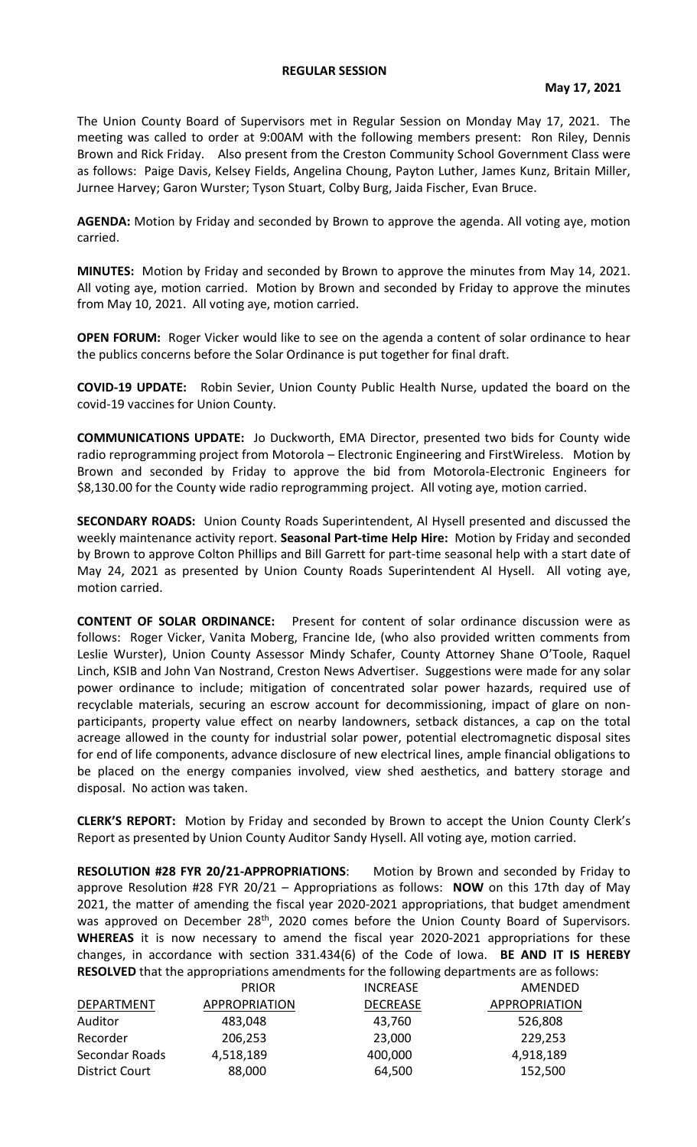## **REGULAR SESSION**

The Union County Board of Supervisors met in Regular Session on Monday May 17, 2021. The meeting was called to order at 9:00AM with the following members present: Ron Riley, Dennis Brown and Rick Friday. Also present from the Creston Community School Government Class were as follows: Paige Davis, Kelsey Fields, Angelina Choung, Payton Luther, James Kunz, Britain Miller, Jurnee Harvey; Garon Wurster; Tyson Stuart, Colby Burg, Jaida Fischer, Evan Bruce.

**AGENDA:** Motion by Friday and seconded by Brown to approve the agenda. All voting aye, motion carried.

**MINUTES:** Motion by Friday and seconded by Brown to approve the minutes from May 14, 2021. All voting aye, motion carried. Motion by Brown and seconded by Friday to approve the minutes from May 10, 2021. All voting aye, motion carried.

**OPEN FORUM:** Roger Vicker would like to see on the agenda a content of solar ordinance to hear the publics concerns before the Solar Ordinance is put together for final draft.

**COVID-19 UPDATE:** Robin Sevier, Union County Public Health Nurse, updated the board on the covid-19 vaccines for Union County.

**COMMUNICATIONS UPDATE:** Jo Duckworth, EMA Director, presented two bids for County wide radio reprogramming project from Motorola – Electronic Engineering and FirstWireless. Motion by Brown and seconded by Friday to approve the bid from Motorola-Electronic Engineers for \$8,130.00 for the County wide radio reprogramming project. All voting aye, motion carried.

**SECONDARY ROADS:** Union County Roads Superintendent, Al Hysell presented and discussed the weekly maintenance activity report. **Seasonal Part-time Help Hire:** Motion by Friday and seconded by Brown to approve Colton Phillips and Bill Garrett for part-time seasonal help with a start date of May 24, 2021 as presented by Union County Roads Superintendent Al Hysell. All voting aye, motion carried.

**CONTENT OF SOLAR ORDINANCE:** Present for content of solar ordinance discussion were as follows: Roger Vicker, Vanita Moberg, Francine Ide, (who also provided written comments from Leslie Wurster), Union County Assessor Mindy Schafer, County Attorney Shane O'Toole, Raquel Linch, KSIB and John Van Nostrand, Creston News Advertiser. Suggestions were made for any solar power ordinance to include; mitigation of concentrated solar power hazards, required use of recyclable materials, securing an escrow account for decommissioning, impact of glare on nonparticipants, property value effect on nearby landowners, setback distances, a cap on the total acreage allowed in the county for industrial solar power, potential electromagnetic disposal sites for end of life components, advance disclosure of new electrical lines, ample financial obligations to be placed on the energy companies involved, view shed aesthetics, and battery storage and disposal. No action was taken.

**CLERK'S REPORT:** Motion by Friday and seconded by Brown to accept the Union County Clerk's Report as presented by Union County Auditor Sandy Hysell. All voting aye, motion carried.

**RESOLUTION #28 FYR 20/21-APPROPRIATIONS**: Motion by Brown and seconded by Friday to approve Resolution #28 FYR 20/21 – Appropriations as follows: **NOW** on this 17th day of May 2021, the matter of amending the fiscal year 2020-2021 appropriations, that budget amendment was approved on December 28<sup>th</sup>, 2020 comes before the Union County Board of Supervisors. **WHEREAS** it is now necessary to amend the fiscal year 2020-2021 appropriations for these changes, in accordance with section 331.434(6) of the Code of Iowa. **BE AND IT IS HEREBY RESOLVED** that the appropriations amendments for the following departments are as follows:

|                       | <b>PRIOR</b>         | <b>INCREASE</b> | AMENDED              |
|-----------------------|----------------------|-----------------|----------------------|
| DEPARTMENT            | <b>APPROPRIATION</b> | <b>DECREASE</b> | <b>APPROPRIATION</b> |
| Auditor               | 483,048              | 43,760          | 526,808              |
| Recorder              | 206,253              | 23,000          | 229,253              |
| Secondar Roads        | 4,518,189            | 400,000         | 4,918,189            |
| <b>District Court</b> | 88,000               | 64,500          | 152,500              |